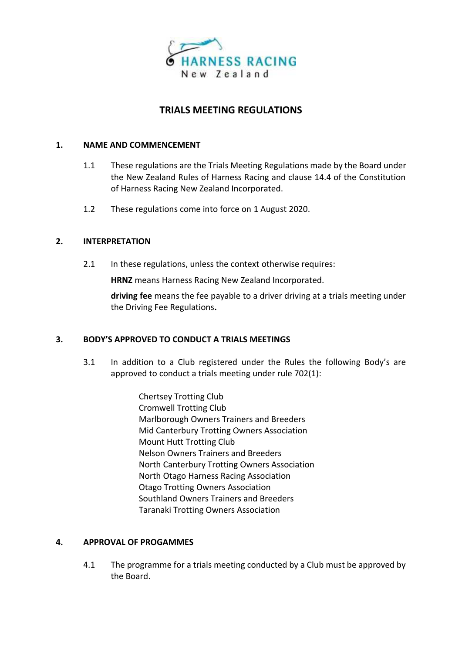

# **TRIALS MEETING REGULATIONS**

#### **1. NAME AND COMMENCEMENT**

- 1.1 These regulations are the Trials Meeting Regulations made by the Board under the New Zealand Rules of Harness Racing and clause 14.4 of the Constitution of Harness Racing New Zealand Incorporated.
- 1.2 These regulations come into force on 1 August 2020.

### **2. INTERPRETATION**

2.1 In these regulations, unless the context otherwise requires:

**HRNZ** means Harness Racing New Zealand Incorporated.

**driving fee** means the fee payable to a driver driving at a trials meeting under the Driving Fee Regulations**.**

### **3. BODY'S APPROVED TO CONDUCT A TRIALS MEETINGS**

- 3.1 In addition to a Club registered under the Rules the following Body's are approved to conduct a trials meeting under rule 702(1):
	- Chertsey Trotting Club Cromwell Trotting Club Marlborough Owners Trainers and Breeders Mid Canterbury Trotting Owners Association Mount Hutt Trotting Club Nelson Owners Trainers and Breeders North Canterbury Trotting Owners Association North Otago Harness Racing Association Otago Trotting Owners Association Southland Owners Trainers and Breeders Taranaki Trotting Owners Association

### **4. APPROVAL OF PROGAMMES**

4.1 The programme for a trials meeting conducted by a Club must be approved by the Board.